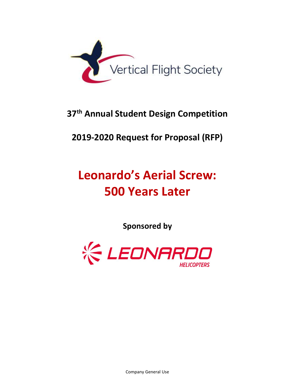

# **37 th Annual Student Design Competition**

# **2019-2020 Request for Proposal (RFP)**

# **Leonardo's Aerial Screw: 500 Years Later**

**Sponsored by**

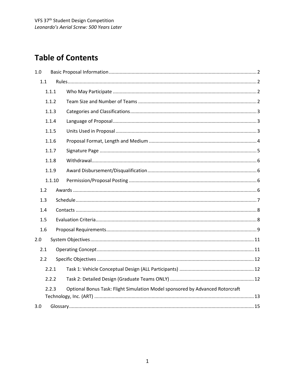# **Table of Contents**

| 1.0    |                                                                               |
|--------|-------------------------------------------------------------------------------|
| 1.1    |                                                                               |
| 1.1.1  |                                                                               |
| 1.1.2  |                                                                               |
| 1.1.3  |                                                                               |
| 1.1.4  |                                                                               |
| 1.1.5  |                                                                               |
| 1.1.6  |                                                                               |
| 1.1.7  |                                                                               |
| 1.1.8  |                                                                               |
| 1.1.9  |                                                                               |
| 1.1.10 |                                                                               |
| 1.2    |                                                                               |
| 1.3    |                                                                               |
| 1.4    |                                                                               |
| 1.5    |                                                                               |
| 1.6    |                                                                               |
| 2.0    |                                                                               |
| 2.1    |                                                                               |
| 2.2    |                                                                               |
| 2.2.1  |                                                                               |
| 2.2.2  |                                                                               |
| 2.2.3  | Optional Bonus Task: Flight Simulation Model sponsored by Advanced Rotorcraft |
| 3.0    |                                                                               |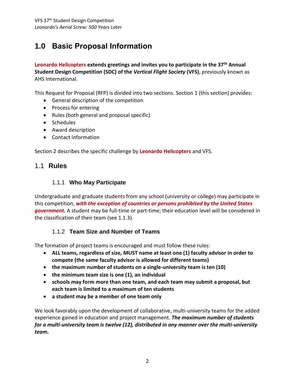# <span id="page-2-0"></span>**1.0 Basic Proposal Information**

**Leonardo Helicopters extends greetings and invites you to participate in the 37th Annual Student Design Competition (SDC) of the** *Vertical Flight Society* **(VFS)**, previously known as AHS International.

This Request for Proposal (RFP) is divided into two sections. Section 1 (this section) provides:

- General description of the competition
- Process for entering
- Rules (both general and proposal specific)
- Schedules
- Award description
- Contact information

Section 2 describes the specific challenge by **Leonardo Helicopters** and VFS.

### <span id="page-2-1"></span>1.1 **Rules**

#### 1.1.1 **Who May Participate**

<span id="page-2-2"></span>Undergraduate and graduate students from any school (university or college) may participate in this competition, *with the exception of countries or persons prohibited by the United States government.* A student may be full-time or part-time; their education level will be considered in the classification of their team (see 1.1.3).

#### 1.1.2 **Team Size and Number of Teams**

<span id="page-2-3"></span>The formation of project teams is encouraged and must follow these rules:

- **ALL teams, regardless of size, MUST name at least one (1) faculty advisor in order to compete (the same faculty advisor is allowed for different teams)**
- **the maximum number of students on a single-university team is ten (10)**
- **the minimum team size is one (1), an individual**
- **schools may form more than one team, and each team may submit a proposal, but each team is limited to a maximum of ten students**
- **a student may be a member of one team only**

We look favorably upon the development of collaborative, multi-university teams for the added experience gained in education and project management. *The maximum number of students for a multi-university team is twelve (12), distributed in any manner over the multi-university team***.**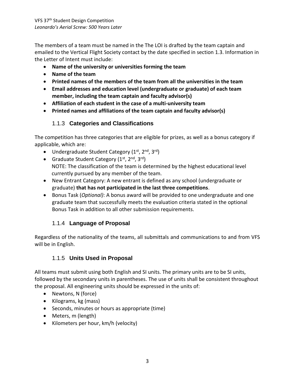The members of a team must be named in the The LOI is drafted by the team captain and emailed to the Vertical Flight Society contact by the date specified in section 1.3. Information in the Letter of Intent must include:

- **Name of the university or universities forming the team**
- **Name of the team**
- **Printed names of the members of the team from all the universities in the team**
- **Email addresses and education level (undergraduate or graduate) of each team member, including the team captain and faculty advisor(s)**
- **Affiliation of each student in the case of a multi-university team**
- **Printed names and affiliations of the team captain and faculty advisor(s)**

## 1.1.3 **Categories and Classifications**

<span id="page-3-0"></span>The competition has three categories that are eligible for prizes, as well as a bonus category if applicable, which are:

- $\bullet$  Undergraduate Student Category (1<sup>st</sup>, 2<sup>nd</sup>, 3<sup>rd</sup>)
- Graduate Student Category  $(1^{st}, 2^{nd}, 3^{rd})$ NOTE: The classification of the team is determined by the highest educational level currently pursued by any member of the team.
- New Entrant Category: A new entrant is defined as any school (undergraduate or graduate) **that has not participated in the last three competitions**.
- Bonus Task (*Optional)*: A bonus award will be provided to one undergraduate and one graduate team that successfully meets the evaluation criteria stated in the optional Bonus Task in addition to all other submission requirements.

## 1.1.4 **Language of Proposal**

<span id="page-3-1"></span>Regardless of the nationality of the teams, all submittals and communications to and from VFS will be in English.

## 1.1.5 **Units Used in Proposal**

<span id="page-3-2"></span>All teams must submit using both English and SI units. The primary units are to be SI units, followed by the secondary units in parentheses. The use of units shall be consistent throughout the proposal. All engineering units should be expressed in the units of:

- Newtons, N (force)
- Kilograms, kg (mass)
- Seconds, minutes or hours as appropriate (time)
- Meters, m (length)
- Kilometers per hour, km/h (velocity)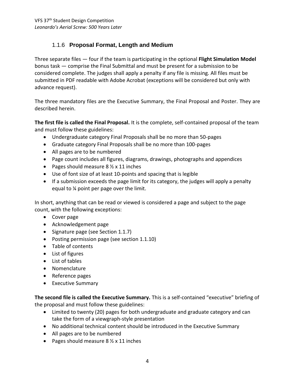## 1.1.6 **Proposal Format, Length and Medium**

<span id="page-4-0"></span>Three separate files — four if the team is participating in the optional **Flight Simulation Model** bonus task — comprise the Final Submittal and must be present for a submission to be considered complete. The judges shall apply a penalty if any file is missing. All files must be submitted in PDF readable with Adobe Acrobat (exceptions will be considered but only with advance request).

The three mandatory files are the Executive Summary, the Final Proposal and Poster. They are described herein.

**The first file is called the Final Proposal.** It is the complete, self-contained proposal of the team and must follow these guidelines:

- Undergraduate category Final Proposals shall be no more than 50-pages
- Graduate category Final Proposals shall be no more than 100-pages
- All pages are to be numbered
- Page count includes all figures, diagrams, drawings, photographs and appendices
- Pages should measure  $8\frac{1}{2} \times 11$  inches
- Use of font size of at least 10-points and spacing that is legible
- If a submission exceeds the page limit for its category, the judges will apply a penalty equal to ¼ point per page over the limit.

In short, anything that can be read or viewed is considered a page and subject to the page count, with the following exceptions:

- Cover page
- Acknowledgement page
- Signature page (see Section 1.1.7)
- Posting permission page (see section 1.1.10)
- Table of contents
- List of figures
- List of tables
- Nomenclature
- Reference pages
- **•** Executive Summary

**The second file is called the Executive Summary.** This is a self-contained "executive" briefing of the proposal and must follow these guidelines:

- Limited to twenty (20) pages for both undergraduate and graduate category and can take the form of a viewgraph-style presentation
- No additional technical content should be introduced in the Executive Summary
- All pages are to be numbered
- Pages should measure  $8\frac{1}{2} \times 11$  inches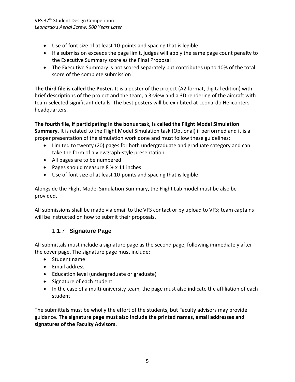VFS 37<sup>th</sup> Student Design Competition *Leonardo's Aerial Screw: 500 Years Later*

- Use of font size of at least 10-points and spacing that is legible
- If a submission exceeds the page limit, judges will apply the same page count penalty to the Executive Summary score as the Final Proposal
- The Executive Summary is not scored separately but contributes up to 10% of the total score of the complete submission

**The third file is called the Poster.** It is a poster of the project (A2 format, digital edition) with brief descriptions of the project and the team, a 3-view and a 3D rendering of the aircraft with team-selected significant details. The best posters will be exhibited at Leonardo Helicopters headquarters.

**The fourth file, if participating in the bonus task, is called the Flight Model Simulation Summary.** It is related to the Flight Model Simulation task (Optional) if performed and it is a proper presentation of the simulation work done and must follow these guidelines:

- Limited to twenty (20) pages for both undergraduate and graduate category and can take the form of a viewgraph-style presentation
- All pages are to be numbered
- Pages should measure  $8\frac{1}{2} \times 11$  inches
- Use of font size of at least 10-points and spacing that is legible

Alongside the Flight Model Simulation Summary, the Flight Lab model must be also be provided.

All submissions shall be made via email to the VFS contact or by upload to VFS; team captains will be instructed on how to submit their proposals.

## 1.1.7 **Signature Page**

<span id="page-5-0"></span>All submittals must include a signature page as the second page, following immediately after the cover page. The signature page must include:

- Student name
- Email address
- Education level (undergraduate or graduate)
- Signature of each student
- In the case of a multi-university team, the page must also indicate the affiliation of each student

The submittals must be wholly the effort of the students, but Faculty advisors may provide guidance. **The signature page must also include the printed names, email addresses and signatures of the Faculty Advisors.**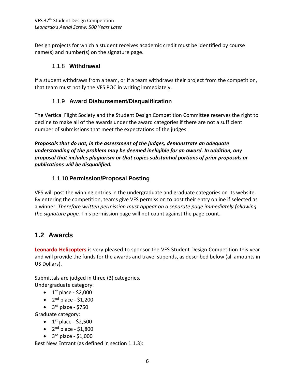Design projects for which a student receives academic credit must be identified by course name(s) and number(s) on the signature page.

#### 1.1.8 **Withdrawal**

<span id="page-6-0"></span>If a student withdraws from a team, or if a team withdraws their project from the competition, that team must notify the VFS POC in writing immediately.

## 1.1.9 **Award Disbursement/Disqualification**

<span id="page-6-1"></span>The Vertical Flight Society and the Student Design Competition Committee reserves the right to decline to make all of the awards under the award categories if there are not a sufficient number of submissions that meet the expectations of the judges.

*Proposals that do not, in the assessment of the judges, demonstrate an adequate understanding of the problem may be deemed ineligible for an award. In addition, any proposal that includes plagiarism or that copies substantial portions of prior proposals or publications will be disqualified.* 

## 1.1.10 **Permission/Proposal Posting**

<span id="page-6-2"></span>VFS will post the winning entries in the undergraduate and graduate categories on its website. By entering the competition, teams give VFS permission to post their entry online if selected as a winner. *Therefore written permission must appear on a separate page immediately following the signature page.* This permission page will not count against the page count.

## <span id="page-6-3"></span>**1.2 Awards**

**Leonardo Helicopters** is very pleased to sponsor the VFS Student Design Competition this year and will provide the funds for the awards and travel stipends, as described below (all amounts in US Dollars).

Submittals are judged in three (3) categories. Undergraduate category:

- $\bullet$  1<sup>st</sup> place \$2,000
- $\bullet$  2<sup>nd</sup> place \$1,200
- $\bullet$  3<sup>rd</sup> place \$750

Graduate category:

- $\bullet$  1<sup>st</sup> place \$2,500
- $\bullet$  2<sup>nd</sup> place \$1,800
- $\bullet$  3<sup>rd</sup> place \$1,000

Best New Entrant (as defined in section 1.1.3):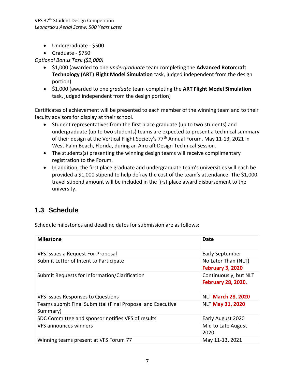VFS 37th Student Design Competition *Leonardo's Aerial Screw: 500 Years Later*

- Undergraduate \$500
- Graduate \$750

*Optional Bonus Task (\$2,000)*

- \$1,000 (awarded to one *undergraduate* team completing the **Advanced Rotorcraft Technology (ART) Flight Model Simulation** task, judged independent from the design portion)
- \$1,000 (awarded to one *graduate* team completing the **ART Flight Model Simulation** task, judged independent from the design portion)

Certificates of achievement will be presented to each member of the winning team and to their faculty advisors for display at their school.

- Student representatives from the first place graduate (up to two students) and undergraduate (up to two students) teams are expected to present a technical summary of their design at the Vertical Flight Society's 77<sup>th</sup> Annual Forum, May 11-13, 2021 in West Palm Beach, Florida, during an Aircraft Design Technical Session.
- The students(s) presenting the winning design teams will receive complimentary registration to the Forum.
- In addition, the first place graduate and undergraduate team's universities will each be provided a \$1,000 stipend to help defray the cost of the team's attendance. The \$1,000 travel stipend amount will be included in the first place award disbursement to the university.

## <span id="page-7-0"></span>**1.3 Schedule**

Schedule milestones and deadline dates for submission are as follows:

| <b>Milestone</b>                                                       | Date                                               |
|------------------------------------------------------------------------|----------------------------------------------------|
| VFS Issues a Request For Proposal                                      | Early September                                    |
| Submit Letter of Intent to Participate                                 | No Later Than (NLT)<br><b>February 3, 2020</b>     |
| Submit Requests for Information/Clarification                          | Continuously, but NLT<br><b>February 28, 2020.</b> |
| <b>VFS Issues Responses to Questions</b>                               | <b>NLT March 28, 2020</b>                          |
| Teams submit Final Submittal (Final Proposal and Executive<br>Summary) | <b>NLT May 31, 2020</b>                            |
| SDC Committee and sponsor notifies VFS of results                      | Early August 2020                                  |
| VFS announces winners                                                  | Mid to Late August<br>2020                         |
| Winning teams present at VFS Forum 77                                  | May 11-13, 2021                                    |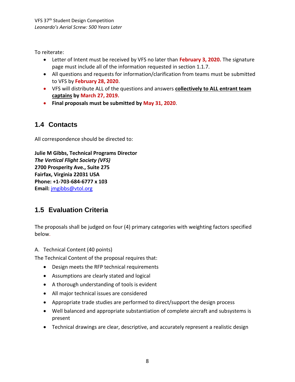To reiterate:

- Letter of Intent must be received by VFS no later than **February 3, 2020.** The signature page must include all of the information requested in section 1.1.7.
- All questions and requests for information/clarification from teams must be submitted to VFS by **February 28, 2020**.
- VFS will distribute ALL of the questions and answers **collectively to ALL entrant team captains by March 27, 2019.**
- **Final proposals must be submitted by May 31, 2020**.

## <span id="page-8-0"></span>**1.4 Contacts**

All correspondence should be directed to:

**Julie M Gibbs, Technical Programs Director** *The Vertical Flight Society (VFS)* **2700 Prosperity Ave., Suite 275 Fairfax, Virginia 22031 USA Phone: +1-703-684-6777 x 103 Email:** [jmgibbs@vtol.org](mailto:jmgibbs@vtol.org)

## <span id="page-8-1"></span>**1.5 Evaluation Criteria**

The proposals shall be judged on four (4) primary categories with weighting factors specified below.

A. Technical Content (40 points)

The Technical Content of the proposal requires that:

- Design meets the RFP technical requirements
- Assumptions are clearly stated and logical
- A thorough understanding of tools is evident
- All major technical issues are considered
- Appropriate trade studies are performed to direct/support the design process
- Well balanced and appropriate substantiation of complete aircraft and subsystems is present
- Technical drawings are clear, descriptive, and accurately represent a realistic design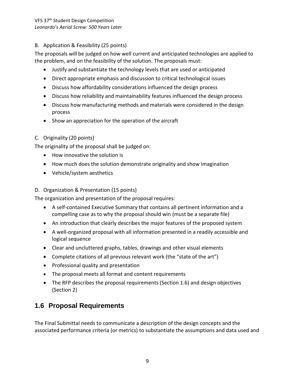#### B. Application & Feasibility (25 points)

The proposals will be judged on how well current and anticipated technologies are applied to the problem, and on the feasibility of the solution. The proposals must:

- Justify and substantiate the technology levels that are used or anticipated
- Direct appropriate emphasis and discussion to critical technological issues
- Discuss how affordability considerations influenced the design process
- Discuss how reliability and maintainability features influenced the design process
- Discuss how manufacturing methods and materials were considered in the design process
- Show an appreciation for the operation of the aircraft

#### C. Originality (20 points)

The originality of the proposal shall be judged on:

- How innovative the solution is
- How much does the solution demonstrate originality and show imagination
- Vehicle/system aesthetics

#### D. Organization & Presentation (15 points)

The organization and presentation of the proposal requires:

- A self-contained Executive Summary that contains all pertinent information and a compelling case as to why the proposal should win (must be a separate file)
- An introduction that clearly describes the major features of the proposed system
- A well-organized proposal with all information presented in a readily accessible and logical sequence
- Clear and uncluttered graphs, tables, drawings and other visual elements
- Complete citations of all previous relevant work (the "state of the art")
- Professional quality and presentation
- The proposal meets all format and content requirements
- The RFP describes the proposal requirements (Section 1.6) and design objectives (Section 2)

## <span id="page-9-0"></span>**1.6 Proposal Requirements**

The Final Submittal needs to communicate a description of the design concepts and the associated performance criteria (or metrics) to substantiate the assumptions and data used and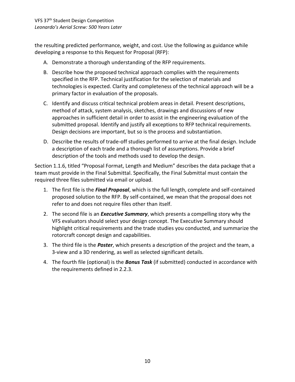the resulting predicted performance, weight, and cost. Use the following as guidance while developing a response to this Request for Proposal (RFP):

- A. Demonstrate a thorough understanding of the RFP requirements.
- B. Describe how the proposed technical approach complies with the requirements specified in the RFP. Technical justification for the selection of materials and technologies is expected. Clarity and completeness of the technical approach will be a primary factor in evaluation of the proposals.
- C. Identify and discuss critical technical problem areas in detail. Present descriptions, method of attack, system analysis, sketches, drawings and discussions of new approaches in sufficient detail in order to assist in the engineering evaluation of the submitted proposal. Identify and justify all exceptions to RFP technical requirements. Design decisions are important, but so is the process and substantiation.
- D. Describe the results of trade-off studies performed to arrive at the final design. Include a description of each trade and a thorough list of assumptions. Provide a brief description of the tools and methods used to develop the design.

Section 1.1.6, titled "Proposal Format, Length and Medium" describes the data package that a team must provide in the Final Submittal. Specifically, the Final Submittal must contain the required three files submitted via email or upload.

- 1. The first file is the *Final Proposal*, which is the full length, complete and self-contained proposed solution to the RFP. By self-contained, we mean that the proposal does not refer to and does not require files other than itself.
- 2. The second file is an *Executive Summary*, which presents a compelling story why the VFS evaluators should select your design concept. The Executive Summary should highlight critical requirements and the trade studies you conducted, and summarize the rotorcraft concept design and capabilities.
- 3. The third file is the *Poster*, which presents a description of the project and the team, a 3-view and a 3D rendering, as well as selected significant details.
- 4. The fourth file (optional) is the *Bonus Task* (if submitted) conducted in accordance with the requirements defined in 2.2.3.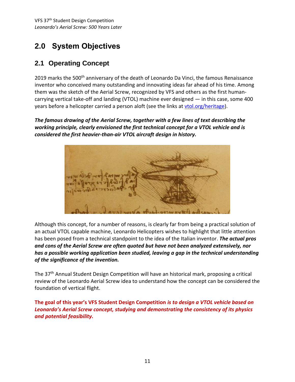# <span id="page-11-0"></span>**2.0 System Objectives**

## <span id="page-11-1"></span>**2.1 Operating Concept**

2019 marks the 500<sup>th</sup> anniversary of the death of Leonardo Da Vinci, the famous Renaissance inventor who conceived many outstanding and innovating ideas far ahead of his time. Among them was the sketch of the Aerial Screw, recognized by VFS and others as the first humancarrying vertical take-off and landing (VTOL) machine ever designed — in this case, some 400 years before a helicopter carried a person aloft (see the links at [vtol.org/heritage\)](https://vtol.org/heritage).

*The famous drawing of the Aerial Screw, together with a few lines of text describing the working principle, clearly envisioned the first technical concept for a VTOL vehicle and is considered the first heavier-than-air VTOL aircraft design in history.* 



Although this concept, for a number of reasons, is clearly far from being a practical solution of an actual VTOL capable machine, Leonardo Helicopters wishes to highlight that little attention has been posed from a technical standpoint to the idea of the Italian inventor. *The actual pros and cons of the Aerial Screw are often quoted but have not been analyzed extensively, nor has a possible working application been studied, leaving a gap in the technical understanding of the significance of the invention.*

The 37<sup>th</sup> Annual Student Design Competition will have an historical mark, proposing a critical review of the Leonardo Aerial Screw idea to understand how the concept can be considered the foundation of vertical flight.

**The goal of this year's VFS Student Design Competition** *is to design a VTOL vehicle based on Leonardo's Aerial Screw concept, studying and demonstrating the consistency of its physics and potential feasibility.*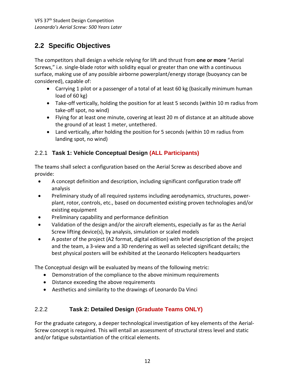## <span id="page-12-0"></span>**2.2 Specific Objectives**

The competitors shall design a vehicle relying for lift and thrust from **one or more** "Aerial Screws," i.e. single-blade rotor with solidity equal or greater than one with a continuous surface, making use of any possible airborne powerplant/energy storage (buoyancy can be considered), capable of:

- Carrying 1 pilot or a passenger of a total of at least 60 kg (basically minimum human load of 60 kg)
- Take-off vertically, holding the position for at least 5 seconds (within 10 m radius from take-off spot, no wind)
- Flying for at least one minute, covering at least 20 m of distance at an altitude above the ground of at least 1 meter, untethered.
- Land vertically, after holding the position for 5 seconds (within 10 m radius from landing spot, no wind)

## <span id="page-12-1"></span>2.2.1 **Task 1: Vehicle Conceptual Design (ALL Participants)**

The teams shall select a configuration based on the Aerial Screw as described above and provide:

- A concept definition and description, including significant configuration trade off analysis
- Preliminary study of all required systems including aerodynamics, structures, powerplant, rotor, controls, etc., based on documented existing proven technologies and/or existing equipment
- **•** Preliminary capability and performance definition
- Validation of the design and/or the aircraft elements, especially as far as the Aerial Screw lifting device(s), by analysis, simulation or scaled models
- A poster of the project (A2 format, digital edition) with brief description of the project and the team, a 3-view and a 3D rendering as well as selected significant details; the best physical posters will be exhibited at the Leonardo Helicopters headquarters

The Conceptual design will be evaluated by means of the following metric:

- Demonstration of the compliance to the above minimum requirements
- Distance exceeding the above requirements
- Aesthetics and similarity to the drawings of Leonardo Da Vinci

## <span id="page-12-2"></span>2.2.2 **Task 2: Detailed Design (Graduate Teams ONLY)**

For the graduate category, a deeper technological investigation of key elements of the Aerial-Screw concept is required. This will entail an assessment of structural stress level and static and/or fatigue substantiation of the critical elements.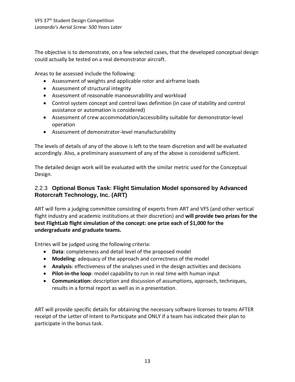The objective is to demonstrate, on a few selected cases, that the developed conceptual design could actually be tested on a real demonstrator aircraft.

Areas to be assessed include the following:

- Assessment of weights and applicable rotor and airframe loads
- Assessment of structural integrity
- Assessment of reasonable manoeuvrability and workload
- Control system concept and control laws definition (in case of stability and control assistance or automation is considered)
- Assessment of crew accommodation/accessibility suitable for demonstrator-level operation
- Assessment of demonstrator-level manufacturability

The levels of details of any of the above is left to the team discretion and will be evaluated accordingly. Also, a preliminary assessment of any of the above is considered sufficient.

The detailed design work will be evaluated with the similar metric used for the Conceptual Design.

#### <span id="page-13-0"></span>2.2.3 **Optional Bonus Task: Flight Simulation Model sponsored by Advanced Rotorcraft Technology, Inc. (ART)**

ART will form a judging committee consisting of experts from ART and VFS (and other vertical flight industry and academic institutions at their discretion) and **will provide two prizes for the best FlightLab flight simulation of the concept: one prize each of \$1,000 for the undergraduate and graduate teams.** 

Entries will be judged using the following criteria:

- **Data**: completeness and detail level of the proposed model
- **Modeling**: adequacy of the approach and correctness of the model
- **Analysis**: effectiveness of the analyses used in the design activities and decisions
- **Pilot-in-the loop**: model capability to run in real time with human input
- **Communication:** description and discussion of assumptions, approach, techniques, results in a formal report as well as in a presentation.

ART will provide specific details for obtaining the necessary software licenses to teams AFTER receipt of the Letter of Intent to Participate and ONLY if a team has indicated their plan to participate in the bonus task.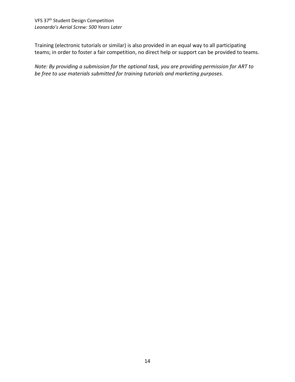Training (electronic tutorials or similar) is also provided in an equal way to all participating teams; in order to foster a fair competition, no direct help or support can be provided to teams.

<span id="page-14-0"></span>*Note: By providing a submission for the optional task, you are providing permission for ART to be free to use materials submitted for training tutorials and marketing purposes.*